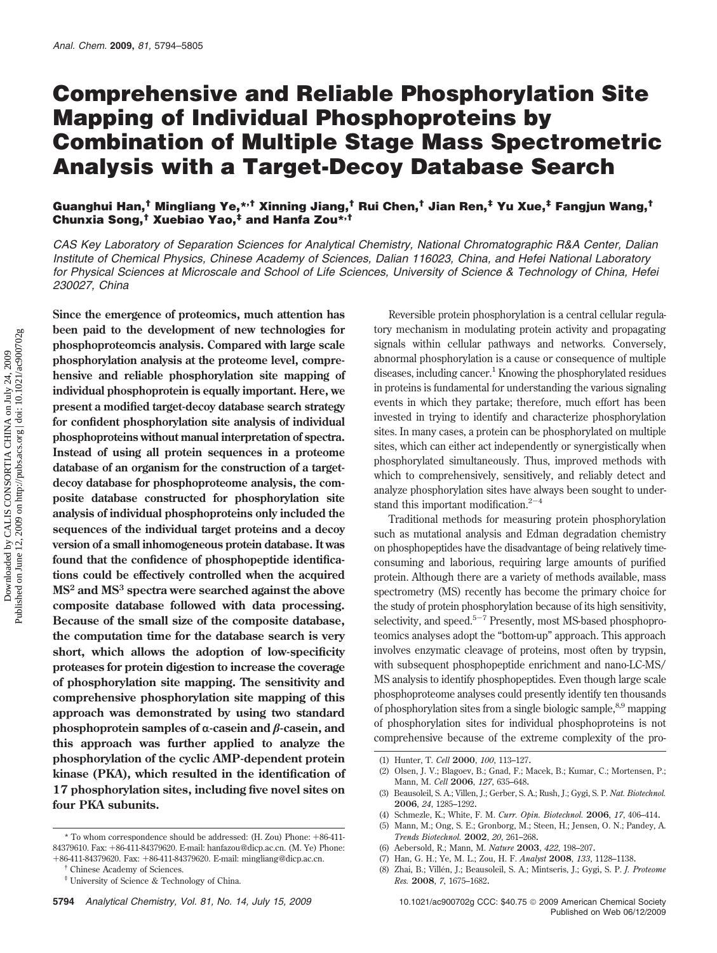# **Comprehensive and Reliable Phosphorylation Site Mapping of Individual Phosphoproteins by Combination of Multiple Stage Mass Spectrometric Analysis with a Target-Decoy Database Search**

# **Guanghui Han,† Mingliang Ye,\*,† Xinning Jiang,† Rui Chen,† Jian Ren,‡ Yu Xue,‡ Fangjun Wang,† Chunxia Song,† Xuebiao Yao,‡ and Hanfa Zou\*,†**

*CAS Key Laboratory of Separation Sciences for Analytical Chemistry, National Chromatographic R&A Center, Dalian Institute of Chemical Physics, Chinese Academy of Sciences, Dalian 116023, China, and Hefei National Laboratory for Physical Sciences at Microscale and School of Life Sciences, University of Science & Technology of China, Hefei 230027, China*

**Since the emergence of proteomics, much attention has been paid to the development of new technologies for phosphoproteomcis analysis. Compared with large scale phosphorylation analysis at the proteome level, comprehensive and reliable phosphorylation site mapping of individual phosphoprotein is equally important. Here, we present a modified target-decoy database search strategy for confident phosphorylation site analysis of individual phosphoproteins without manual interpretation of spectra. Instead of using all protein sequences in a proteome database of an organism for the construction of a targetdecoy database for phosphoproteome analysis, the composite database constructed for phosphorylation site analysis of individual phosphoproteins only included the sequences of the individual target proteins and a decoy version of a small inhomogeneous protein database. It was found that the confidence of phosphopeptide identifications could be effectively controlled when the acquired MS<sup>2</sup> and MS3 spectra were searched against the above composite database followed with data processing. Because of the small size of the composite database, the computation time for the database search is very short, which allows the adoption of low-specificity proteases for protein digestion to increase the coverage of phosphorylation site mapping. The sensitivity and comprehensive phosphorylation site mapping of this approach was demonstrated by using two standard** phosphoprotein samples of  $\alpha$ -casein and  $\beta$ -casein, and **this approach was further applied to analyze the phosphorylation of the cyclic AMP-dependent protein kinase (PKA), which resulted in the identification of 17 phosphorylation sites, including five novel sites on four PKA subunits.**

Reversible protein phosphorylation is a central cellular regulatory mechanism in modulating protein activity and propagating signals within cellular pathways and networks. Conversely, abnormal phosphorylation is a cause or consequence of multiple diseases, including cancer.<sup>1</sup> Knowing the phosphorylated residues in proteins is fundamental for understanding the various signaling events in which they partake; therefore, much effort has been invested in trying to identify and characterize phosphorylation sites. In many cases, a protein can be phosphorylated on multiple sites, which can either act independently or synergistically when phosphorylated simultaneously. Thus, improved methods with which to comprehensively, sensitively, and reliably detect and analyze phosphorylation sites have always been sought to understand this important modification. $2^{-4}$ 

Traditional methods for measuring protein phosphorylation such as mutational analysis and Edman degradation chemistry on phosphopeptides have the disadvantage of being relatively timeconsuming and laborious, requiring large amounts of purified protein. Although there are a variety of methods available, mass spectrometry (MS) recently has become the primary choice for the study of protein phosphorylation because of its high sensitivity, selectivity, and speed. $5-7$  Presently, most MS-based phosphoproteomics analyses adopt the "bottom-up" approach. This approach involves enzymatic cleavage of proteins, most often by trypsin, with subsequent phosphopeptide enrichment and nano-LC-MS/ MS analysis to identify phosphopeptides. Even though large scale phosphoproteome analyses could presently identify ten thousands of phosphorylation sites from a single biologic sample,<sup>8,9</sup> mapping of phosphorylation sites for individual phosphoproteins is not comprehensive because of the extreme complexity of the pro-

<sup>\*</sup> To whom correspondence should be addressed: (H. Zou) Phone: +86-411- 84379610. Fax: +86-411-84379620. E-mail: hanfazou@dicp.ac.cn. (M. Ye) Phone: <sup>+</sup>86-411-84379620. Fax: <sup>+</sup>86-411-84379620. E-mail: mingliang@dicp.ac.cn. † Chinese Academy of Sciences.

<sup>‡</sup> University of Science & Technology of China.

<sup>(1)</sup> Hunter, T. *Cell* **2000**, *100*, 113–127.

<sup>(2)</sup> Olsen, J. V.; Blagoev, B.; Gnad, F.; Macek, B.; Kumar, C.; Mortensen, P.; Mann, M. *Cell* **2006**, *127*, 635–648.

<sup>(3)</sup> Beausoleil, S. A.; Villen, J.; Gerber, S. A.; Rush, J.; Gygi, S. P. *Nat. Biotechnol.* **2006**, *24*, 1285–1292.

<sup>(4)</sup> Schmezle, K.; White, F. M. *Curr. Opin. Biotechnol.* **2006**, *17*, 406–414.

<sup>(5)</sup> Mann, M.; Ong, S. E.; Gronborg, M.; Steen, H.; Jensen, O. N.; Pandey, A. *Trends Biotechnol.* **2002**, *20*, 261–268.

<sup>(6)</sup> Aebersold, R.; Mann, M. *Nature* **2003**, *422*, 198–207.

<sup>(7)</sup> Han, G. H.; Ye, M. L.; Zou, H. F. *Analyst* **2008**, *133*, 1128–1138.

<sup>(8)</sup> Zhai, B.; Ville´n, J.; Beausoleil, S. A.; Mintseris, J.; Gygi, S. P. *J. Proteome Res.* **2008**, *7*, 1675–1682.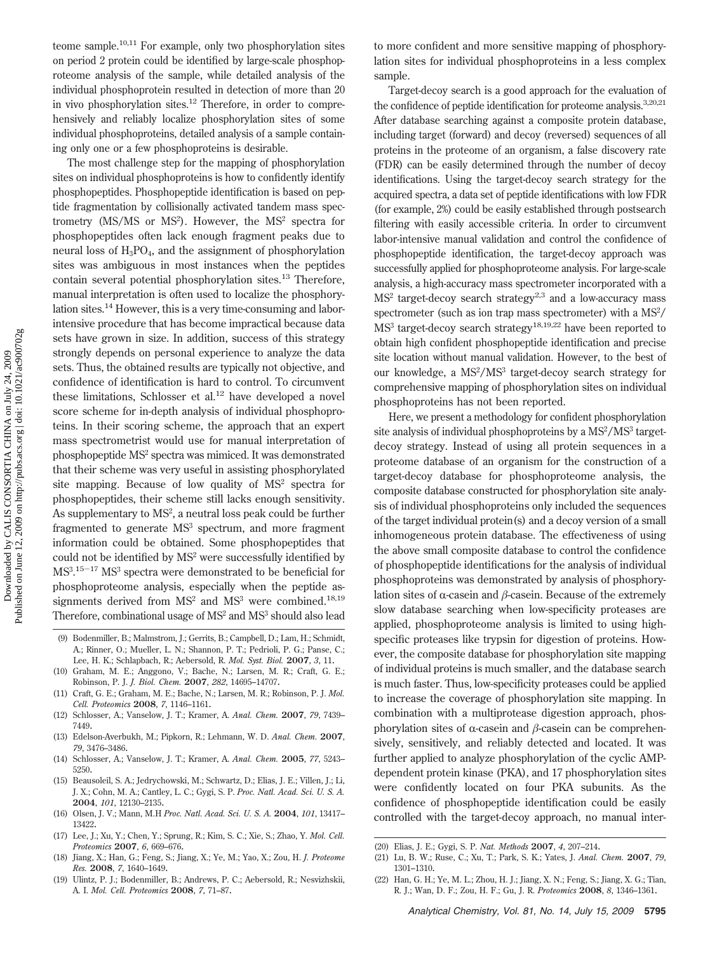teome sample.<sup>10,11</sup> For example, only two phosphorylation sites on period 2 protein could be identified by large-scale phosphoproteome analysis of the sample, while detailed analysis of the individual phosphoprotein resulted in detection of more than 20 in vivo phosphorylation sites.<sup>12</sup> Therefore, in order to comprehensively and reliably localize phosphorylation sites of some individual phosphoproteins, detailed analysis of a sample containing only one or a few phosphoproteins is desirable.

The most challenge step for the mapping of phosphorylation sites on individual phosphoproteins is how to confidently identify phosphopeptides. Phosphopeptide identification is based on peptide fragmentation by collisionally activated tandem mass spectrometry (MS/MS or MS<sup>2</sup>). However, the MS<sup>2</sup> spectra for phosphopeptides often lack enough fragment peaks due to neural loss of  $H_3PO_4$ , and the assignment of phosphorylation sites was ambiguous in most instances when the peptides contain several potential phosphorylation sites.<sup>13</sup> Therefore, manual interpretation is often used to localize the phosphorylation sites.14 However, this is a very time-consuming and laborintensive procedure that has become impractical because data sets have grown in size. In addition, success of this strategy strongly depends on personal experience to analyze the data sets. Thus, the obtained results are typically not objective, and confidence of identification is hard to control. To circumvent these limitations, Schlosser et al. $^{12}$  have developed a novel score scheme for in-depth analysis of individual phosphoproteins. In their scoring scheme, the approach that an expert mass spectrometrist would use for manual interpretation of phosphopeptide MS2 spectra was mimiced. It was demonstrated that their scheme was very useful in assisting phosphorylated site mapping. Because of low quality of MS<sup>2</sup> spectra for phosphopeptides, their scheme still lacks enough sensitivity. As supplementary to  $MS^2$ , a neutral loss peak could be further fragmented to generate MS<sup>3</sup> spectrum, and more fragment information could be obtained. Some phosphopeptides that could not be identified by MS<sup>2</sup> were successfully identified by MS3 . <sup>15</sup>-<sup>17</sup> MS<sup>3</sup> spectra were demonstrated to be beneficial for phosphoproteome analysis, especially when the peptide assignments derived from MS<sup>2</sup> and MS<sup>3</sup> were combined.<sup>18,19</sup> Therefore, combinational usage of  $MS<sup>2</sup>$  and  $MS<sup>3</sup>$  should also lead

- (9) Bodenmiller, B.; Malmstrom, J.; Gerrits, B.; Campbell, D.; Lam, H.; Schmidt, A.; Rinner, O.; Mueller, L. N.; Shannon, P. T.; Pedrioli, P. G.; Panse, C.; Lee, H. K.; Schlapbach, R.; Aebersold, R. *Mol. Syst. Biol.* **2007**, *3*, 11.
- (10) Graham, M. E.; Anggono, V.; Bache, N.; Larsen, M. R.; Craft, G. E.; Robinson, P. J. *J. Biol. Chem.* **2007**, *282*, 14695–14707.
- (11) Craft, G. E.; Graham, M. E.; Bache, N.; Larsen, M. R.; Robinson, P. J. *Mol. Cell. Proteomics* **2008**, *7*, 1146–1161.
- (12) Schlosser, A.; Vanselow, J. T.; Kramer, A. *Anal. Chem.* **2007**, *79*, 7439– 7449.
- (13) Edelson-Averbukh, M.; Pipkorn, R.; Lehmann, W. D. *Anal. Chem.* **2007**, *79*, 3476–3486.
- (14) Schlosser, A.; Vanselow, J. T.; Kramer, A. *Anal. Chem.* **2005**, *77*, 5243– 5250.
- (15) Beausoleil, S. A.; Jedrychowski, M.; Schwartz, D.; Elias, J. E.; Villen, J.; Li, J. X.; Cohn, M. A.; Cantley, L. C.; Gygi, S. P. *Proc. Natl. Acad. Sci. U. S. A.* **2004**, *101*, 12130–2135.
- (16) Olsen, J. V.; Mann, M.H *Proc. Natl. Acad. Sci. U. S. A.* **2004**, *101*, 13417– 13422.
- (17) Lee, J.; Xu, Y.; Chen, Y.; Sprung, R.; Kim, S. C.; Xie, S.; Zhao, Y. *Mol. Cell. Proteomics* **2007**, *6*, 669–676.
- (18) Jiang, X.; Han, G.; Feng, S.; Jiang, X.; Ye, M.; Yao, X.; Zou, H. *J. Proteome Res.* **2008**, *7*, 1640–1649.
- (19) Ulintz, P. J.; Bodenmiller, B.; Andrews, P. C.; Aebersold, R.; Nesvizhskii, A. I. *Mol. Cell. Proteomics* **2008**, *7*, 71–87.

to more confident and more sensitive mapping of phosphorylation sites for individual phosphoproteins in a less complex sample.

Target-decoy search is a good approach for the evaluation of the confidence of peptide identification for proteome analysis.<sup>3,20,21</sup> After database searching against a composite protein database, including target (forward) and decoy (reversed) sequences of all proteins in the proteome of an organism, a false discovery rate (FDR) can be easily determined through the number of decoy identifications. Using the target-decoy search strategy for the acquired spectra, a data set of peptide identifications with low FDR (for example, 2%) could be easily established through postsearch filtering with easily accessible criteria. In order to circumvent labor-intensive manual validation and control the confidence of phosphopeptide identification, the target-decoy approach was successfully applied for phosphoproteome analysis. For large-scale analysis, a high-accuracy mass spectrometer incorporated with a  $MS<sup>2</sup>$  target-decoy search strategy<sup>2,3</sup> and a low-accuracy mass spectrometer (such as ion trap mass spectrometer) with a MS<sup>2</sup>/ MS<sup>3</sup> target-decoy search strategy<sup>18,19,22</sup> have been reported to obtain high confident phosphopeptide identification and precise site location without manual validation. However, to the best of our knowledge, a MS<sup>2</sup>/MS<sup>3</sup> target-decoy search strategy for comprehensive mapping of phosphorylation sites on individual phosphoproteins has not been reported.

Here, we present a methodology for confident phosphorylation site analysis of individual phosphoproteins by a MS<sup>2</sup>/MS<sup>3</sup> targetdecoy strategy. Instead of using all protein sequences in a proteome database of an organism for the construction of a target-decoy database for phosphoproteome analysis, the composite database constructed for phosphorylation site analysis of individual phosphoproteins only included the sequences of the target individual protein(s) and a decoy version of a small inhomogeneous protein database. The effectiveness of using the above small composite database to control the confidence of phosphopeptide identifications for the analysis of individual phosphoproteins was demonstrated by analysis of phosphorylation sites of  $\alpha$ -casein and  $\beta$ -casein. Because of the extremely slow database searching when low-specificity proteases are applied, phosphoproteome analysis is limited to using highspecific proteases like trypsin for digestion of proteins. However, the composite database for phosphorylation site mapping of individual proteins is much smaller, and the database search is much faster. Thus, low-specificity proteases could be applied to increase the coverage of phosphorylation site mapping. In combination with a multiprotease digestion approach, phosphorylation sites of  $\alpha$ -casein and  $\beta$ -casein can be comprehensively, sensitively, and reliably detected and located. It was further applied to analyze phosphorylation of the cyclic AMPdependent protein kinase (PKA), and 17 phosphorylation sites were confidently located on four PKA subunits. As the confidence of phosphopeptide identification could be easily controlled with the target-decoy approach, no manual inter-

- (21) Lu, B. W.; Ruse, C.; Xu, T.; Park, S. K.; Yates, J. *Anal. Chem.* **2007**, *79*, 1301–1310.
- (22) Han, G. H.; Ye, M. L.; Zhou, H. J.; Jiang, X. N.; Feng, S.; Jiang, X. G.; Tian, R. J.; Wan, D. F.; Zou, H. F.; Gu, J. R. *Proteomics* **2008**, *8*, 1346–1361.

<sup>(20)</sup> Elias, J. E.; Gygi, S. P. *Nat. Methods* **2007**, *4*, 207–214.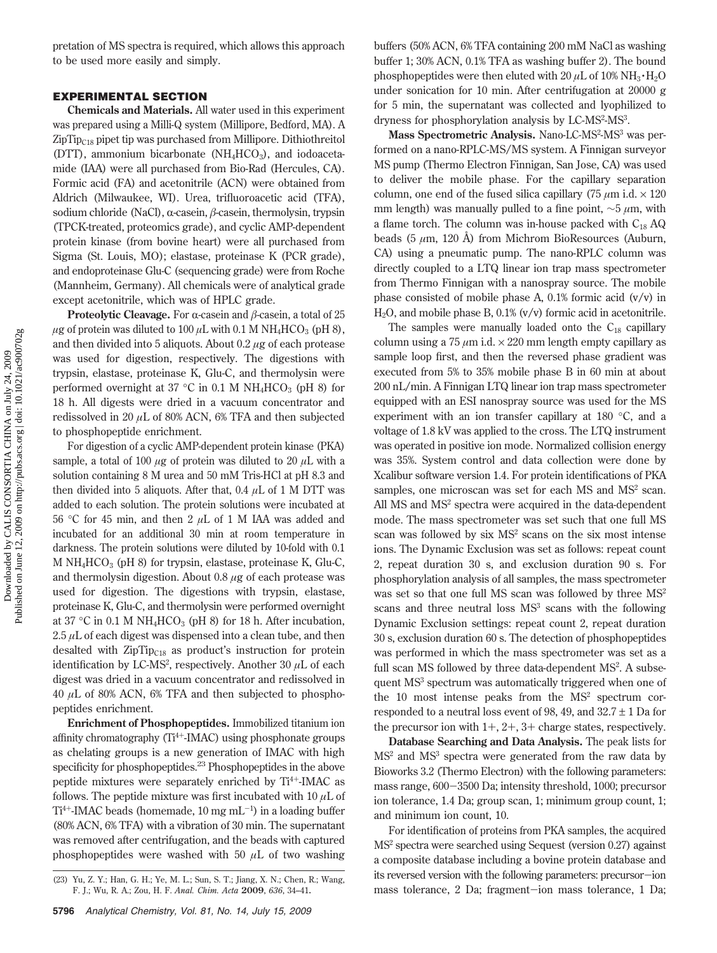pretation of MS spectra is required, which allows this approach to be used more easily and simply.

# **EXPERIMENTAL SECTION**

**Chemicals and Materials.** All water used in this experiment was prepared using a Milli-Q system (Millipore, Bedford, MA). A  $\rm ZipTip_{C18}$  pipet tip was purchased from Millipore. Dithiothreitol (DTT), ammonium bicarbonate ( $NH<sub>4</sub>HCO<sub>3</sub>$ ), and iodoacetamide (IAA) were all purchased from Bio-Rad (Hercules, CA). Formic acid (FA) and acetonitrile (ACN) were obtained from Aldrich (Milwaukee, WI). Urea, trifluoroacetic acid (TFA), sodium chloride (NaCl),  $\alpha$ -casein,  $\beta$ -casein, thermolysin, trypsin (TPCK-treated, proteomics grade), and cyclic AMP-dependent protein kinase (from bovine heart) were all purchased from Sigma (St. Louis, MO); elastase, proteinase K (PCR grade), and endoproteinase Glu-C (sequencing grade) were from Roche (Mannheim, Germany). All chemicals were of analytical grade except acetonitrile, which was of HPLC grade.

**Proteolytic Cleavage.** For  $\alpha$ -casein and  $\beta$ -casein, a total of 25  $\mu$ g of protein was diluted to 100  $\mu$ L with 0.1 M NH<sub>4</sub>HCO<sub>3</sub> (pH 8), and then divided into 5 aliquots. About 0.2 *µ*g of each protease was used for digestion, respectively. The digestions with trypsin, elastase, proteinase K, Glu-C, and thermolysin were performed overnight at 37 °C in 0.1 M NH<sub>4</sub>HCO<sub>3</sub> (pH 8) for 18 h. All digests were dried in a vacuum concentrator and redissolved in 20 *µ*L of 80% ACN, 6% TFA and then subjected to phosphopeptide enrichment.

For digestion of a cyclic AMP-dependent protein kinase (PKA) sample, a total of 100  $\mu$ g of protein was diluted to 20  $\mu$ L with a solution containing 8 M urea and 50 mM Tris-HCl at pH 8.3 and then divided into 5 aliquots. After that, 0.4 *µ*L of 1 M DTT was added to each solution. The protein solutions were incubated at 56 °C for 45 min, and then 2 *µ*L of 1 M IAA was added and incubated for an additional 30 min at room temperature in darkness. The protein solutions were diluted by 10-fold with 0.1 M  $NH<sub>4</sub>HCO<sub>3</sub>$  (pH 8) for trypsin, elastase, proteinase K, Glu-C, and thermolysin digestion. About 0.8 *µ*g of each protease was used for digestion. The digestions with trypsin, elastase, proteinase K, Glu-C, and thermolysin were performed overnight at 37 °C in 0.1 M NH<sub>4</sub>HCO<sub>3</sub> (pH 8) for 18 h. After incubation,  $2.5 \mu L$  of each digest was dispensed into a clean tube, and then desalted with  $\mathbb{Z}$ ipTip<sub>C18</sub> as product's instruction for protein identification by LC-MS<sup>2</sup>, respectively. Another 30  $\mu$ L of each digest was dried in a vacuum concentrator and redissolved in 40 *µ*L of 80% ACN, 6% TFA and then subjected to phosphopeptides enrichment.

**Enrichment of Phosphopeptides.** Immobilized titanium ion affinity chromatography  $(Ti^{4+}-IMAC)$  using phosphonate groups as chelating groups is a new generation of IMAC with high specificity for phosphopeptides.<sup>23</sup> Phosphopeptides in the above peptide mixtures were separately enriched by  $Ti^{4+}$ -IMAC as follows. The peptide mixture was first incubated with 10 *µ*L of  $Ti<sup>4+</sup>$ -IMAC beads (homemade, 10 mg mL<sup>-1</sup>) in a loading buffer (80% ACN, 6% TFA) with a vibration of 30 min. The supernatant was removed after centrifugation, and the beads with captured phosphopeptides were washed with 50 *µ*L of two washing buffers (50% ACN, 6% TFA containing 200 mM NaCl as washing buffer 1; 30% ACN, 0.1% TFA as washing buffer 2). The bound phosphopeptides were then eluted with 20  $\mu$ L of 10% NH<sub>3</sub> · H<sub>2</sub>O under sonication for 10 min. After centrifugation at 20000 g for 5 min, the supernatant was collected and lyophilized to dryness for phosphorylation analysis by LC-MS<sup>2</sup>-MS<sup>3</sup>.

Mass Spectrometric Analysis. Nano-LC-MS<sup>2</sup>-MS<sup>3</sup> was performed on a nano-RPLC-MS/MS system. A Finnigan surveyor MS pump (Thermo Electron Finnigan, San Jose, CA) was used to deliver the mobile phase. For the capillary separation column, one end of the fused silica capillary (75  $\mu$ m i.d.  $\times$  120 mm length) was manually pulled to a fine point, ∼5 *µ*m, with a flame torch. The column was in-house packed with  $C_{18}$  AQ beads (5 *µ*m, 120 Å) from Michrom BioResources (Auburn, CA) using a pneumatic pump. The nano-RPLC column was directly coupled to a LTQ linear ion trap mass spectrometer from Thermo Finnigan with a nanospray source. The mobile phase consisted of mobile phase A,  $0.1\%$  formic acid  $(v/v)$  in H2O, and mobile phase B, 0.1% (v/v) formic acid in acetonitrile.

The samples were manually loaded onto the  $C_{18}$  capillary column using a  $75 \mu m$  i.d.  $\times 220$  mm length empty capillary as sample loop first, and then the reversed phase gradient was executed from 5% to 35% mobile phase B in 60 min at about 200 nL/min. A Finnigan LTQ linear ion trap mass spectrometer equipped with an ESI nanospray source was used for the MS experiment with an ion transfer capillary at 180 °C, and a voltage of 1.8 kV was applied to the cross. The LTQ instrument was operated in positive ion mode. Normalized collision energy was 35%. System control and data collection were done by Xcalibur software version 1.4. For protein identifications of PKA samples, one microscan was set for each MS and MS<sup>2</sup> scan. All MS and MS<sup>2</sup> spectra were acquired in the data-dependent mode. The mass spectrometer was set such that one full MS scan was followed by six  $MS<sup>2</sup>$  scans on the six most intense ions. The Dynamic Exclusion was set as follows: repeat count 2, repeat duration 30 s, and exclusion duration 90 s. For phosphorylation analysis of all samples, the mass spectrometer was set so that one full MS scan was followed by three MS<sup>2</sup> scans and three neutral loss  $MS<sup>3</sup>$  scans with the following Dynamic Exclusion settings: repeat count 2, repeat duration 30 s, exclusion duration 60 s. The detection of phosphopeptides was performed in which the mass spectrometer was set as a full scan MS followed by three data-dependent MS<sup>2</sup>. A subsequent MS3 spectrum was automatically triggered when one of the 10 most intense peaks from the  $MS<sup>2</sup>$  spectrum corresponded to a neutral loss event of 98, 49, and  $32.7 \pm 1$  Da for the precursor ion with  $1+, 2+, 3+$  charge states, respectively.

**Database Searching and Data Analysis.** The peak lists for MS2 and MS3 spectra were generated from the raw data by Bioworks 3.2 (Thermo Electron) with the following parameters: mass range, 600-3500 Da; intensity threshold, 1000; precursor ion tolerance, 1.4 Da; group scan, 1; minimum group count, 1; and minimum ion count, 10.

For identification of proteins from PKA samples, the acquired MS2 spectra were searched using Sequest (version 0.27) against a composite database including a bovine protein database and its reversed version with the following parameters: precursor-ion mass tolerance, 2 Da; fragment-ion mass tolerance, 1 Da;

<sup>(23)</sup> Yu, Z. Y.; Han, G. H.; Ye, M. L.; Sun, S. T.; Jiang, X. N.; Chen, R.; Wang, F. J.; Wu, R. A.; Zou, H. F. *Anal. Chim. Acta* **2009**, *636*, 34–41.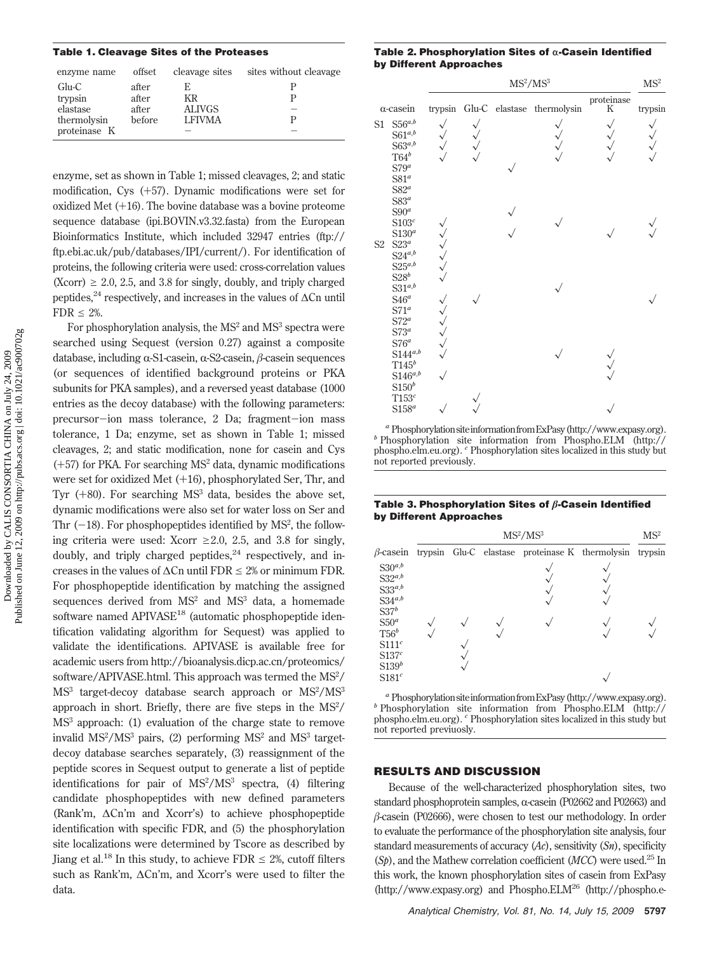# **Table 1. Cleavage Sites of the Proteases**

| enzyme name  | offset | cleavage sites | sites without cleavage |
|--------------|--------|----------------|------------------------|
| $Glu-C$      | after  | E              |                        |
| trypsin      | after  | KR             |                        |
| elastase     | after  | <b>ALIVGS</b>  | -                      |
| thermolysin  | before | <b>LEIVMA</b>  |                        |
| proteinase K |        |                |                        |
|              |        |                |                        |

enzyme, set as shown in Table 1; missed cleavages, 2; and static modification, Cys (+57). Dynamic modifications were set for oxidized Met (+16). The bovine database was a bovine proteome sequence database (ipi.BOVIN.v3.32.fasta) from the European Bioinformatics Institute, which included 32947 entries (ftp:// ftp.ebi.ac.uk/pub/databases/IPI/current/). For identification of proteins, the following criteria were used: cross-correlation values  $(Xcorr) \ge 2.0, 2.5,$  and 3.8 for singly, doubly, and triply charged peptides,<sup>24</sup> respectively, and increases in the values of  $\Delta$ Cn until  $FDR \leq 2\%$ .

For phosphorylation analysis, the  $MS<sup>2</sup>$  and  $MS<sup>3</sup>$  spectra were searched using Sequest (version 0.27) against a composite database, including  $\alpha$ -S1-casein,  $\alpha$ -S2-casein,  $\beta$ -casein sequences (or sequences of identified background proteins or PKA subunits for PKA samples), and a reversed yeast database (1000 entries as the decoy database) with the following parameters: precursor-ion mass tolerance, 2 Da; fragment-ion mass tolerance, 1 Da; enzyme, set as shown in Table 1; missed cleavages, 2; and static modification, none for casein and Cys  $(+57)$  for PKA. For searching MS<sup>2</sup> data, dynamic modifications were set for oxidized Met  $(+16)$ , phosphorylated Ser, Thr, and Tyr  $(+80)$ . For searching MS<sup>3</sup> data, besides the above set, dynamic modifications were also set for water loss on Ser and Thr  $(-18)$ . For phosphopeptides identified by MS<sup>2</sup>, the follow-<br>ing exitation wave used. Near  $> 2.0$ ,  $2.5$  and  $2.8$  for singly ing criteria were used: Xcorr  $\geq 2.0$ , 2.5, and 3.8 for singly, doubly, and triply charged peptides, $^{24}$  respectively, and increases in the values of  $\Delta$ Cn until FDR  $\leq$  2% or minimum FDR. For phosphopeptide identification by matching the assigned sequences derived from MS<sup>2</sup> and MS<sup>3</sup> data, a homemade software named APIVASE<sup>18</sup> (automatic phosphopeptide identification validating algorithm for Sequest) was applied to validate the identifications. APIVASE is available free for academic users from http://bioanalysis.dicp.ac.cn/proteomics/ software/APIVASE.html. This approach was termed the MS<sup>2</sup>/ MS<sup>3</sup> target-decoy database search approach or MS<sup>2</sup>/MS<sup>3</sup> approach in short. Briefly, there are five steps in the  $MS<sup>2</sup>/$ MS<sup>3</sup> approach: (1) evaluation of the charge state to remove invalid  $MS<sup>2</sup>/MS<sup>3</sup>$  pairs, (2) performing  $MS<sup>2</sup>$  and  $MS<sup>3</sup>$  targetdecoy database searches separately, (3) reassignment of the peptide scores in Sequest output to generate a list of peptide identifications for pair of MS<sup>2</sup>/MS<sup>3</sup> spectra, (4) filtering candidate phosphopeptides with new defined parameters (Rank'm, ∆Cn'm and Xcorr's) to achieve phosphopeptide identification with specific FDR, and (5) the phosphorylation site localizations were determined by Tscore as described by Jiang et al.<sup>18</sup> In this study, to achieve FDR  $\leq$  2%, cutoff filters such as Rank'm, ∆Cn'm, and Xcorr's were used to filter the data.

## Table 2. Phosphorylation Sites of α-Casein Identified **by Different Approaches**

|                |                                                                                                    | MS <sup>2</sup> /MS <sup>3</sup> |  |  | $\mathrm{MS}^2$            |                 |         |
|----------------|----------------------------------------------------------------------------------------------------|----------------------------------|--|--|----------------------------|-----------------|---------|
|                | $\alpha$ -casein                                                                                   | trypsin                          |  |  | Glu-C elastase thermolysin | proteinase<br>K | trypsin |
| S1             | $S56^{a,b}$<br>$S61^{a,b}$<br>$S63^{a,b}$<br>$T64^b$<br>$S79^a$<br>S81 <sup>a</sup>                |                                  |  |  |                            |                 |         |
| S <sub>2</sub> | $S82^a$<br>$S83^a$<br>$S90^a$<br>S103 <sup>c</sup><br>\$130 <sup>a</sup><br>$S23^a$<br>$S24^{a,b}$ |                                  |  |  |                            |                 |         |
|                | $S25^{a,b}$<br>$S28^b$<br>$S31^{a,b}$<br>$S46^a$<br>$S71^a$<br>$S72^a$                             |                                  |  |  |                            |                 |         |
|                | $S73^a$<br>$S76^a$<br>$S144^{a,b}$<br>$T145^b$<br>$S146^{a,b}$<br>$S150^b$                         |                                  |  |  |                            |                 |         |
|                | T153 <sup>c</sup><br>$S158^a$                                                                      |                                  |  |  |                            |                 |         |

*a* Phosphorylation site information from ExPasy (http://www.expasy.org). *b* Phosphorylation site information from Phospho.ELM (http:// phospho.elm.eu.org). *<sup>c</sup>* Phosphorylation sites localized in this study but not reported previously.

#### Table 3. Phosphorylation Sites of  $\beta$ -Casein Identified **by Different Approaches**

|                                                                                                                                                                                              | MS <sup>2</sup> /MS <sup>3</sup> |  |  |                                                 |  | MS <sup>2</sup> |
|----------------------------------------------------------------------------------------------------------------------------------------------------------------------------------------------|----------------------------------|--|--|-------------------------------------------------|--|-----------------|
| $\beta$ -casein                                                                                                                                                                              |                                  |  |  | trypsin Glu-C elastase proteinase K thermolysin |  | trypsin         |
| $\mathrm{S30}^{a,b}$<br>$\mathbf{S32}^{a,b}$<br>$S33^{a,b}$<br>$S34^{a,b}$<br>S37 <sup>b</sup><br>S50 <sup>a</sup><br>$T56^b$<br>$S111^c$<br>S137c<br>S139 <sup>b</sup><br>S181 <sup>c</sup> |                                  |  |  |                                                 |  |                 |

*<sup>a</sup>* PhosphorylationsiteinformationfromExPasy(http://www.expasy.org). *<sup>b</sup>* Phosphorylation site information from Phospho.ELM (http:// phospho.elm.eu.org). *<sup>c</sup>* Phosphorylation sites localized in this study but not reported previuosly.

## **RESULTS AND DISCUSSION**

Because of the well-characterized phosphorylation sites, two standard phosphoprotein samples,  $\alpha$ -casein (P02662 and P02663) and  $\beta$ -casein (P02666), were chosen to test our methodology. In order to evaluate the performance of the phosphorylation site analysis, four standard measurements of accuracy (*Ac*), sensitivity (*Sn*), specificity (*Sp*), and the Mathew correlation coefficient (*MCC*) were used.25 In this work, the known phosphorylation sites of casein from ExPasy  $(\text{http://www.expasy.org})$  and Phospho.ELM<sup>26</sup> (http://phospho.e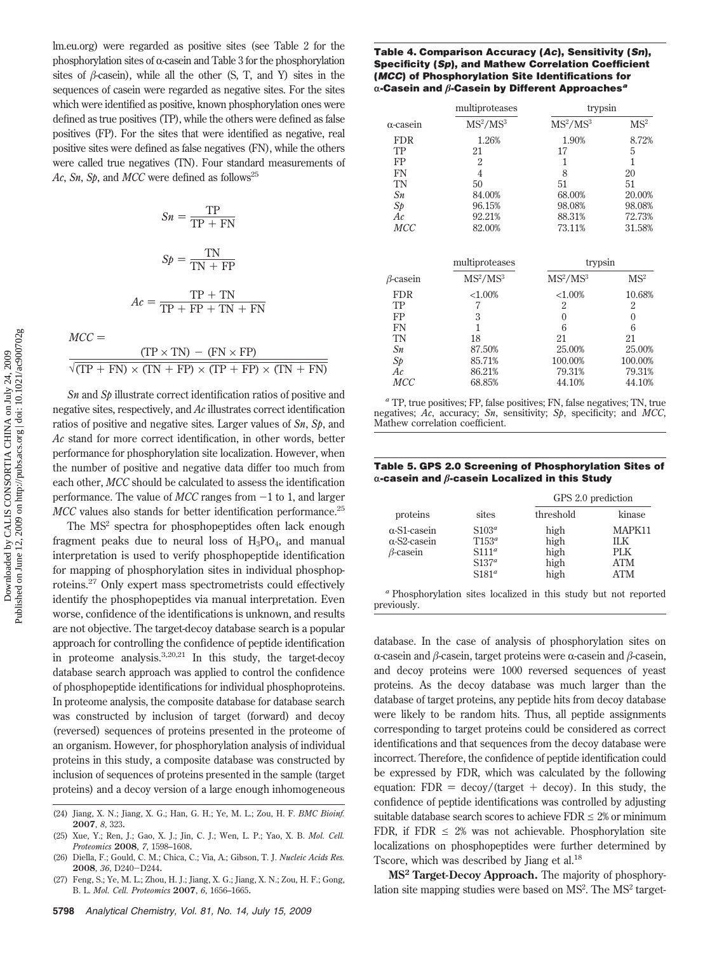lm.eu.org) were regarded as positive sites (see Table 2 for the phosphorylation sites of  $\alpha$ -casein and Table 3 for the phosphorylation sites of  $\beta$ -casein), while all the other (S, T, and Y) sites in the sequences of casein were regarded as negative sites. For the sites which were identified as positive, known phosphorylation ones were defined as true positives (TP), while the others were defined as false positives (FP). For the sites that were identified as negative, real positive sites were defined as false negatives (FN), while the others were called true negatives (TN). Four standard measurements of Ac, Sn, Sp, and MCC were defined as follows<sup>25</sup>

$$
Sn = \frac{TP}{TP + FN}
$$

$$
Sp = \frac{TN}{TN + FP}
$$

$$
Ac = \frac{TP + TN}{TP + FP + TN + FN}
$$

 $MCC =$ 

|  | $(TP \times TN) - (FN \times FP)$ |                                                                       |
|--|-----------------------------------|-----------------------------------------------------------------------|
|  |                                   | $\sqrt{(TP + FN)} \times (TN + FP) \times (TP + FP) \times (TN + FN)$ |

*Sn* and *Sp* illustrate correct identification ratios of positive and negative sites, respectively, and *Ac* illustrates correct identification ratios of positive and negative sites. Larger values of *Sn*, *Sp*, and *Ac* stand for more correct identification, in other words, better performance for phosphorylation site localization. However, when the number of positive and negative data differ too much from each other, *MCC* should be calculated to assess the identification performance. The value of  $MCC$  ranges from  $-1$  to 1, and larger *MCC* values also stands for better identification performance.<sup>25</sup>

The MS<sup>2</sup> spectra for phosphopeptides often lack enough fragment peaks due to neural loss of  $H_3PO_4$ , and manual interpretation is used to verify phosphopeptide identification for mapping of phosphorylation sites in individual phosphoproteins.<sup>27</sup> Only expert mass spectrometrists could effectively identify the phosphopeptides via manual interpretation. Even worse, confidence of the identifications is unknown, and results are not objective. The target-decoy database search is a popular approach for controlling the confidence of peptide identification in proteome analysis. $3,20,21$  In this study, the target-decoy database search approach was applied to control the confidence of phosphopeptide identifications for individual phosphoproteins. In proteome analysis, the composite database for database search was constructed by inclusion of target (forward) and decoy (reversed) sequences of proteins presented in the proteome of an organism. However, for phosphorylation analysis of individual proteins in this study, a composite database was constructed by inclusion of sequences of proteins presented in the sample (target proteins) and a decoy version of a large enough inhomogeneous

## **Table 4. Comparison Accuracy (***Ac***), Sensitivity (***Sn***), Specificity (***Sp***), and Mathew Correlation Coefficient (***MCC***) of Phosphorylation Site Identifications for** r**-Casein and -Casein by Different Approaches***<sup>a</sup>*

|                 | multiproteases                   | trypsin                          |                 |
|-----------------|----------------------------------|----------------------------------|-----------------|
| α-casein        | MS <sup>2</sup> /MS <sup>3</sup> | MS <sup>2</sup> /MS <sup>3</sup> | MS <sup>2</sup> |
| <b>FDR</b>      | 1.26%                            | 1.90%                            | 8.72%           |
| TP              | 21                               | 17                               | 5               |
| FP              | $\overline{2}$                   | 1                                | 1               |
| FN              | $\overline{4}$                   | 8                                | 20              |
| <b>TN</b>       | 50                               | 51                               | 51              |
| Sn              | 84.00%                           | 68.00%                           | 20.00%          |
| Sp              | 96.15%                           | 98.08%                           | 98.08%          |
| Ac              | 92.21%                           | 88.31%                           | 72.73%          |
| <b>MCC</b>      | 82.00%                           | 73.11%                           | 31.58%          |
|                 | multiproteases                   | trypsin                          |                 |
| $\beta$ -casein | MS <sup>2</sup> /MS <sup>3</sup> | MS <sup>2</sup> /MS <sup>3</sup> | MS <sup>2</sup> |
| <b>FDR</b>      | ${<}1.00%$                       | ${<}1.00%$                       | 10.68%          |
| TP              | 7                                | $\overline{2}$                   | $\overline{2}$  |
| FP              | 3                                | $\theta$                         | $\mathbf{0}$    |
| FN              | $\mathbf{1}$                     | 6                                | 6               |
| TN              | 18                               | 21                               | 21              |
| Sn              | 87.50%                           | 25.00%                           | 25.00%          |
| Sp              | 85.71%                           | 100.00%                          | 100.00%         |
| Аc              | 86.21%                           | 79.31%                           | 79.31%          |
| MCC             | 68.85%                           | 44.10%                           | 44.10%          |

*<sup>a</sup>* TP, true positives; FP, false positives; FN, false negatives; TN, true negatives; *Ac*, accuracy; *Sn*, sensitivity; *Sp*, specificity; and *MCC*, Mathew correlation coefficient.

**Table 5. GPS 2.0 Screening of Phosphorylation Sites of** r**-casein and -casein Localized in this Study**

|                                                               |                                                                   | GPS 2.0 prediction                   |                                            |  |
|---------------------------------------------------------------|-------------------------------------------------------------------|--------------------------------------|--------------------------------------------|--|
| proteins                                                      | sites                                                             | threshold                            | kinase                                     |  |
| $\alpha$ -S1-casein<br>$\alpha$ -S2-casein<br>$\beta$ -casein | $S103^a$<br>$T153^a$<br>$S111^a$<br>$S137^a$<br>S181 <sup>a</sup> | high<br>high<br>high<br>high<br>high | MAPK11<br>II K<br>PLK<br><b>ATM</b><br>ATM |  |

*<sup>a</sup>* Phosphorylation sites localized in this study but not reported previously.

database. In the case of analysis of phosphorylation sites on  $\alpha$ -casein and  $\beta$ -casein, target proteins were  $\alpha$ -casein and  $\beta$ -casein, and decoy proteins were 1000 reversed sequences of yeast proteins. As the decoy database was much larger than the database of target proteins, any peptide hits from decoy database were likely to be random hits. Thus, all peptide assignments corresponding to target proteins could be considered as correct identifications and that sequences from the decoy database were incorrect. Therefore, the confidence of peptide identification could be expressed by FDR, which was calculated by the following equation:  $FDR = decay/(target + decay)$ . In this study, the confidence of peptide identifications was controlled by adjusting suitable database search scores to achieve  $FDR \leq 2\%$  or minimum FDR, if FDR  $\leq$  2% was not achievable. Phosphorylation site localizations on phosphopeptides were further determined by Tscore, which was described by Jiang et al.<sup>18</sup>

**MS<sup>2</sup> Target-Decoy Approach.** The majority of phosphorylation site mapping studies were based on MS<sup>2</sup>. The MS<sup>2</sup> target-

<sup>(24)</sup> Jiang, X. N.; Jiang, X. G.; Han, G. H.; Ye, M. L.; Zou, H. F. *BMC Bioinf.* **2007**, *8*, 323.

<sup>(25)</sup> Xue, Y.; Ren, J.; Gao, X. J.; Jin, C. J.; Wen, L. P.; Yao, X. B. *Mol. Cell. Proteomics* **2008**, *7*, 1598–1608.

<sup>(26)</sup> Diella, F.; Gould, C. M.; Chica, C.; Via, A.; Gibson, T. J. *Nucleic Acids Res.* **<sup>2008</sup>**, *<sup>36</sup>*, D240-D244.

<sup>(27)</sup> Feng, S.; Ye, M. L.; Zhou, H. J.; Jiang, X. G.; Jiang, X. N.; Zou, H. F.; Gong, B. L. *Mol. Cell. Proteomics* **2007**, *6*, 1656–1665.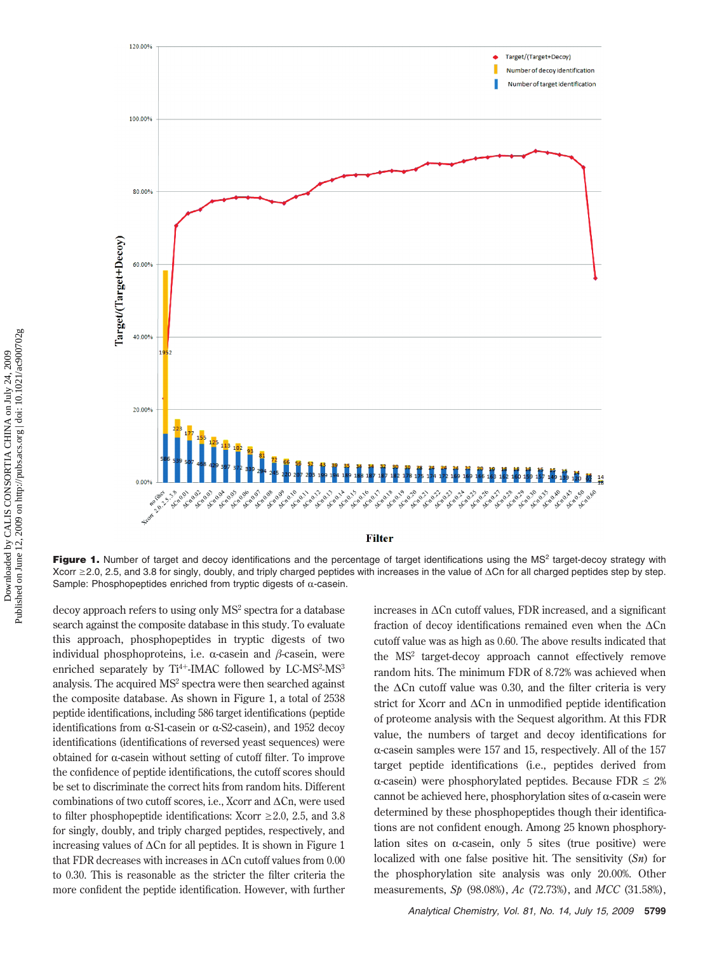

Figure 1. Number of target and decoy identifications and the percentage of target identifications using the MS<sup>2</sup> target-decoy strategy with Xcorr ≥2.0, 2.5, and 3.8 for singly, doubly, and triply charged peptides with increases in the value of ∆Cn for all charged peptides step by step. Sample: Phosphopeptides enriched from tryptic digests of  $\alpha$ -casein.

decoy approach refers to using only MS<sup>2</sup> spectra for a database search against the composite database in this study. To evaluate this approach, phosphopeptides in tryptic digests of two individual phosphoproteins, i.e.  $\alpha$ -casein and  $\beta$ -casein, were enriched separately by Ti<sup>4+</sup>-IMAC followed by LC-MS<sup>2</sup>-MS<sup>3</sup> analysis. The acquired MS<sup>2</sup> spectra were then searched against the composite database. As shown in Figure 1, a total of 2538 peptide identifications, including 586 target identifications (peptide identifications from  $\alpha$ -S1-casein or  $\alpha$ -S2-casein), and 1952 decoy identifications (identifications of reversed yeast sequences) were obtained for  $\alpha$ -casein without setting of cutoff filter. To improve the confidence of peptide identifications, the cutoff scores should be set to discriminate the correct hits from random hits. Different combinations of two cutoff scores, i.e., Xcorr and ∆Cn, were used to filter phosphopeptide identifications: Xcorr  $\geq 2.0$ , 2.5, and 3.8 for singly, doubly, and triply charged peptides, respectively, and increasing values of ∆Cn for all peptides. It is shown in Figure 1 that FDR decreases with increases in ∆Cn cutoff values from 0.00 to 0.30. This is reasonable as the stricter the filter criteria the more confident the peptide identification. However, with further

increases in ∆Cn cutoff values, FDR increased, and a significant fraction of decoy identifications remained even when the ∆Cn cutoff value was as high as 0.60. The above results indicated that the MS<sup>2</sup> target-decoy approach cannot effectively remove random hits. The minimum FDR of 8.72% was achieved when the ∆Cn cutoff value was 0.30, and the filter criteria is very strict for Xcorr and ∆Cn in unmodified peptide identification of proteome analysis with the Sequest algorithm. At this FDR value, the numbers of target and decoy identifications for  $\alpha$ -casein samples were 157 and 15, respectively. All of the 157 target peptide identifications (i.e., peptides derived from  $\alpha$ -casein) were phosphorylated peptides. Because FDR  $\leq 2\%$ cannot be achieved here, phosphorylation sites of  $\alpha$ -casein were determined by these phosphopeptides though their identifications are not confident enough. Among 25 known phosphorylation sites on  $\alpha$ -casein, only 5 sites (true positive) were localized with one false positive hit. The sensitivity (*Sn*) for the phosphorylation site analysis was only 20.00%. Other measurements, *Sp* (98.08%), *Ac* (72.73%), and *MCC* (31.58%),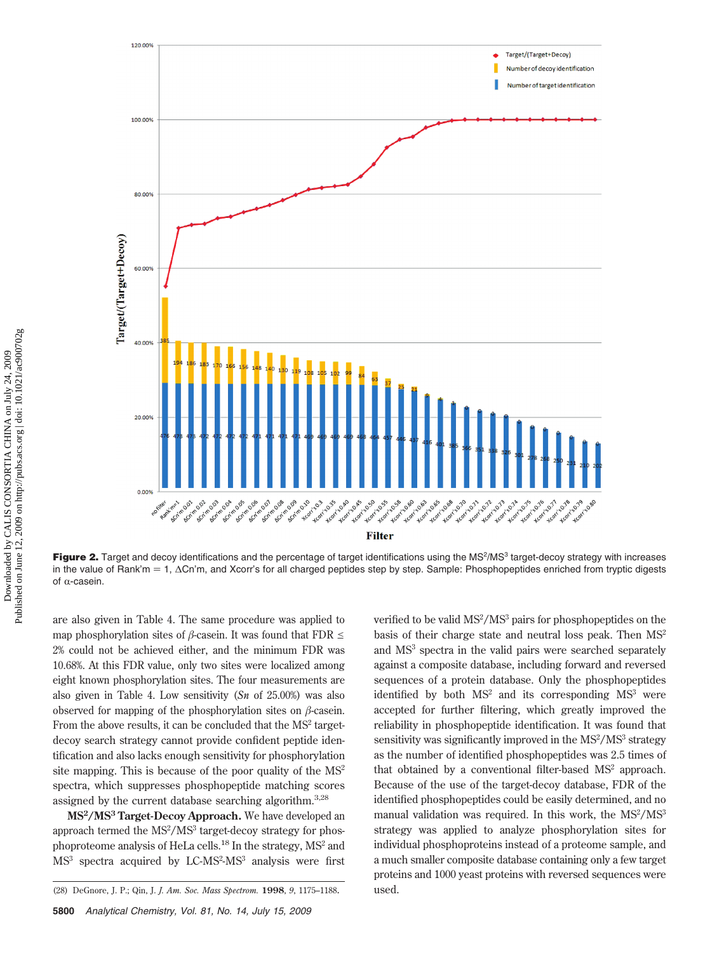

**Figure 2.** Target and decoy identifications and the percentage of target identifications using the MS<sup>2</sup>/MS<sup>3</sup> target-decoy strategy with increases in the value of Rank'm = 1, ∆Cn'm, and Xcorr's for all charged peptides step by step. Sample: Phosphopeptides enriched from tryptic digests of  $\alpha$ -casein.

are also given in Table 4. The same procedure was applied to map phosphorylation sites of  $\beta$ -casein. It was found that FDR  $\leq$ 2% could not be achieved either, and the minimum FDR was 10.68%. At this FDR value, only two sites were localized among eight known phosphorylation sites. The four measurements are also given in Table 4. Low sensitivity (*Sn* of 25.00%) was also observed for mapping of the phosphorylation sites on  $\beta$ -casein. From the above results, it can be concluded that the  $MS<sup>2</sup>$  targetdecoy search strategy cannot provide confident peptide identification and also lacks enough sensitivity for phosphorylation site mapping. This is because of the poor quality of the  $MS<sup>2</sup>$ spectra, which suppresses phosphopeptide matching scores assigned by the current database searching algorithm.3,28

**MS2/MS3 Target-Decoy Approach.** We have developed an approach termed the  $MS^2/MS^3$  target-decoy strategy for phosphoproteome analysis of HeLa cells.<sup>18</sup> In the strategy,  $MS<sup>2</sup>$  and MS<sup>3</sup> spectra acquired by LC-MS<sup>2</sup>-MS<sup>3</sup> analysis were first

verified to be valid MS<sup>2</sup>/MS<sup>3</sup> pairs for phosphopeptides on the basis of their charge state and neutral loss peak. Then  $MS<sup>2</sup>$ and MS3 spectra in the valid pairs were searched separately against a composite database, including forward and reversed sequences of a protein database. Only the phosphopeptides identified by both  $MS<sup>2</sup>$  and its corresponding  $MS<sup>3</sup>$  were accepted for further filtering, which greatly improved the reliability in phosphopeptide identification. It was found that sensitivity was significantly improved in the MS<sup>2</sup>/MS<sup>3</sup> strategy as the number of identified phosphopeptides was 2.5 times of that obtained by a conventional filter-based MS<sup>2</sup> approach. Because of the use of the target-decoy database, FDR of the identified phosphopeptides could be easily determined, and no manual validation was required. In this work, the MS<sup>2</sup>/MS<sup>3</sup> strategy was applied to analyze phosphorylation sites for individual phosphoproteins instead of a proteome sample, and a much smaller composite database containing only a few target proteins and 1000 yeast proteins with reversed sequences were

<sup>(28)</sup> DeGnore, J. P.; Qin, J. *J. Am. Soc. Mass Spectrom.* **1998**, *9*, 1175–1188. used.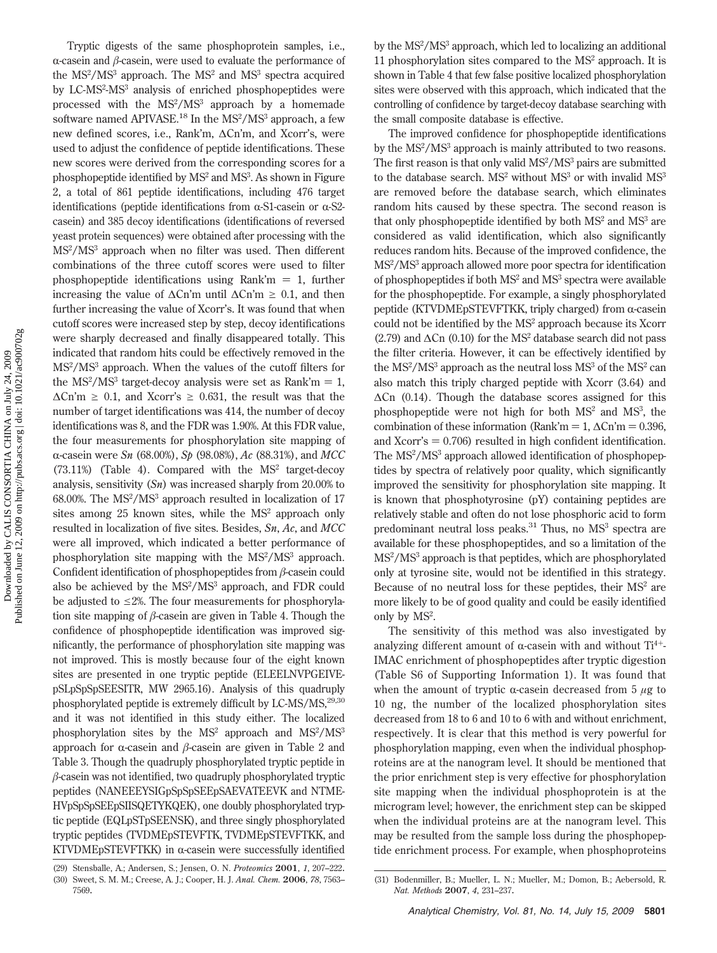Tryptic digests of the same phosphoprotein samples, i.e.,  $\alpha$ -casein and  $\beta$ -casein, were used to evaluate the performance of the  $MS^2/MS^3$  approach. The  $MS^2$  and  $MS^3$  spectra acquired by LC-MS<sup>2</sup>-MS<sup>3</sup> analysis of enriched phosphopeptides were processed with the  $MS<sup>2</sup>/MS<sup>3</sup>$  approach by a homemade software named APIVASE.<sup>18</sup> In the MS<sup>2</sup>/MS<sup>3</sup> approach, a few new defined scores, i.e., Rank'm, ∆Cn'm, and Xcorr's, were used to adjust the confidence of peptide identifications. These new scores were derived from the corresponding scores for a phosphopeptide identified by MS<sup>2</sup> and MS<sup>3</sup>. As shown in Figure 2, a total of 861 peptide identifications, including 476 target identifications (peptide identifications from  $\alpha$ -S1-casein or  $\alpha$ -S2casein) and 385 decoy identifications (identifications of reversed yeast protein sequences) were obtained after processing with the MS<sup>2</sup> /MS3 approach when no filter was used. Then different combinations of the three cutoff scores were used to filter phosphopeptide identifications using Rank'm  $= 1$ , further increasing the value of  $\Delta$ Cn'm until  $\Delta$ Cn'm  $\geq 0.1$ , and then further increasing the value of Xcorr's. It was found that when cutoff scores were increased step by step, decoy identifications were sharply decreased and finally disappeared totally. This indicated that random hits could be effectively removed in the MS2 /MS3 approach. When the values of the cutoff filters for the MS<sup>2</sup>/MS<sup>3</sup> target-decoy analysis were set as Rank'm = 1,<br>ACp'm > 0.1, and Naam's > 0.621, the result was that the  $\Delta$ Cn'm  $\geq$  0.1, and Xcorr's  $\geq$  0.631, the result was that the number of target identifications was 414, the number of decoy identifications was 8, and the FDR was 1.90%. At this FDR value, the four measurements for phosphorylation site mapping of R-casein were *Sn* (68.00%), *Sp* (98.08%), *Ac* (88.31%), and *MCC*  $(73.11%)$  (Table 4). Compared with the MS<sup>2</sup> target-decoy analysis, sensitivity (*Sn*) was increased sharply from 20.00% to  $68.00\%$ . The MS<sup>2</sup>/MS<sup>3</sup> approach resulted in localization of 17 sites among  $25$  known sites, while the  $MS<sup>2</sup>$  approach only resulted in localization of five sites. Besides, *Sn*, *Ac*, and *MCC* were all improved, which indicated a better performance of phosphorylation site mapping with the MS<sup>2</sup>/MS<sup>3</sup> approach. Confident identification of phosphopeptides from  $\beta$ -casein could also be achieved by the MS<sup>2</sup>/MS<sup>3</sup> approach, and FDR could be adjusted to  $\leq$ 2%. The four measurements for phosphorylation site mapping of  $\beta$ -casein are given in Table 4. Though the confidence of phosphopeptide identification was improved significantly, the performance of phosphorylation site mapping was not improved. This is mostly because four of the eight known sites are presented in one tryptic peptide (ELEELNVPGEIVEpSLpSpSpSEESITR, MW 2965.16). Analysis of this quadruply phosphorylated peptide is extremely difficult by  $LC-MS/MS$ , $^{29,30}$ and it was not identified in this study either. The localized phosphorylation sites by the MS<sup>2</sup> approach and MS<sup>2</sup>/MS<sup>3</sup> approach for  $\alpha$ -casein and  $\beta$ -casein are given in Table 2 and Table 3. Though the quadruply phosphorylated tryptic peptide in  $\beta$ -casein was not identified, two quadruply phosphorylated tryptic peptides (NANEEEYSIGpSpSpSEEpSAEVATEEVK and NTME-HVpSpSpSEEpSIISQETYKQEK), one doubly phosphorylated tryptic peptide (EQLpSTpSEENSK), and three singly phosphorylated tryptic peptides (TVDMEpSTEVFTK, TVDMEpSTEVFTKK, and KTVDMEpSTEVFTKK) in  $\alpha$ -casein were successfully identified

7569.

by the MS<sup>2</sup>/MS<sup>3</sup> approach, which led to localizing an additional 11 phosphorylation sites compared to the MS<sup>2</sup> approach. It is shown in Table 4 that few false positive localized phosphorylation sites were observed with this approach, which indicated that the controlling of confidence by target-decoy database searching with the small composite database is effective.

The improved confidence for phosphopeptide identifications by the MS<sup>2</sup>/MS<sup>3</sup> approach is mainly attributed to two reasons. The first reason is that only valid MS<sup>2</sup>/MS<sup>3</sup> pairs are submitted to the database search.  $MS^2$  without  $MS^3$  or with invalid  $MS^3$ are removed before the database search, which eliminates random hits caused by these spectra. The second reason is that only phosphopeptide identified by both  $MS<sup>2</sup>$  and  $MS<sup>3</sup>$  are considered as valid identification, which also significantly reduces random hits. Because of the improved confidence, the MS2 /MS3 approach allowed more poor spectra for identification of phosphopeptides if both MS<sup>2</sup> and MS<sup>3</sup> spectra were available for the phosphopeptide. For example, a singly phosphorylated peptide (KTVDMEpSTEVFTKK, triply charged) from  $\alpha$ -casein could not be identified by the MS2 approach because its Xcorr  $(2.79)$  and  $\Delta$ Cn  $(0.10)$  for the MS<sup>2</sup> database search did not pass the filter criteria. However, it can be effectively identified by the  $\rm MS^2/MS^3$  approach as the neutral loss  $\rm MS^3$  of the  $\rm MS^2$  can also match this triply charged peptide with Xcorr (3.64) and ∆Cn (0.14). Though the database scores assigned for this phosphopeptide were not high for both MS<sup>2</sup> and MS<sup>3</sup>, the combination of these information (Rank'm = 1,  $\Delta$ Cn'm = 0.396, and Xcorr's  $= 0.706$ ) resulted in high confident identification. The MS<sup>2</sup>/MS<sup>3</sup> approach allowed identification of phosphopeptides by spectra of relatively poor quality, which significantly improved the sensitivity for phosphorylation site mapping. It is known that phosphotyrosine (pY) containing peptides are relatively stable and often do not lose phosphoric acid to form predominant neutral loss peaks. $31$  Thus, no MS<sup>3</sup> spectra are available for these phosphopeptides, and so a limitation of the MS2 /MS3 approach is that peptides, which are phosphorylated only at tyrosine site, would not be identified in this strategy. Because of no neutral loss for these peptides, their  $MS<sup>2</sup>$  are more likely to be of good quality and could be easily identified only by MS<sup>2</sup>.

The sensitivity of this method was also investigated by analyzing different amount of  $\alpha$ -casein with and without Ti<sup>4+</sup>-IMAC enrichment of phosphopeptides after tryptic digestion (Table S6 of Supporting Information 1). It was found that when the amount of tryptic  $\alpha$ -casein decreased from 5  $\mu$ g to 10 ng, the number of the localized phosphorylation sites decreased from 18 to 6 and 10 to 6 with and without enrichment, respectively. It is clear that this method is very powerful for phosphorylation mapping, even when the individual phosphoproteins are at the nanogram level. It should be mentioned that the prior enrichment step is very effective for phosphorylation site mapping when the individual phosphoprotein is at the microgram level; however, the enrichment step can be skipped when the individual proteins are at the nanogram level. This may be resulted from the sample loss during the phosphopeptide enrichment process. For example, when phosphoproteins

<sup>(29)</sup> Stensballe, A.; Andersen, S.; Jensen, O. N. *Proteomics* **2001**, *1*, 207–222. (30) Sweet, S. M. M.; Creese, A. J.; Cooper, H. J. *Anal. Chem.* **2006**, *78*, 7563–

<sup>(31)</sup> Bodenmiller, B.; Mueller, L. N.; Mueller, M.; Domon, B.; Aebersold, R. *Nat. Methods* **2007**, *4*, 231–237.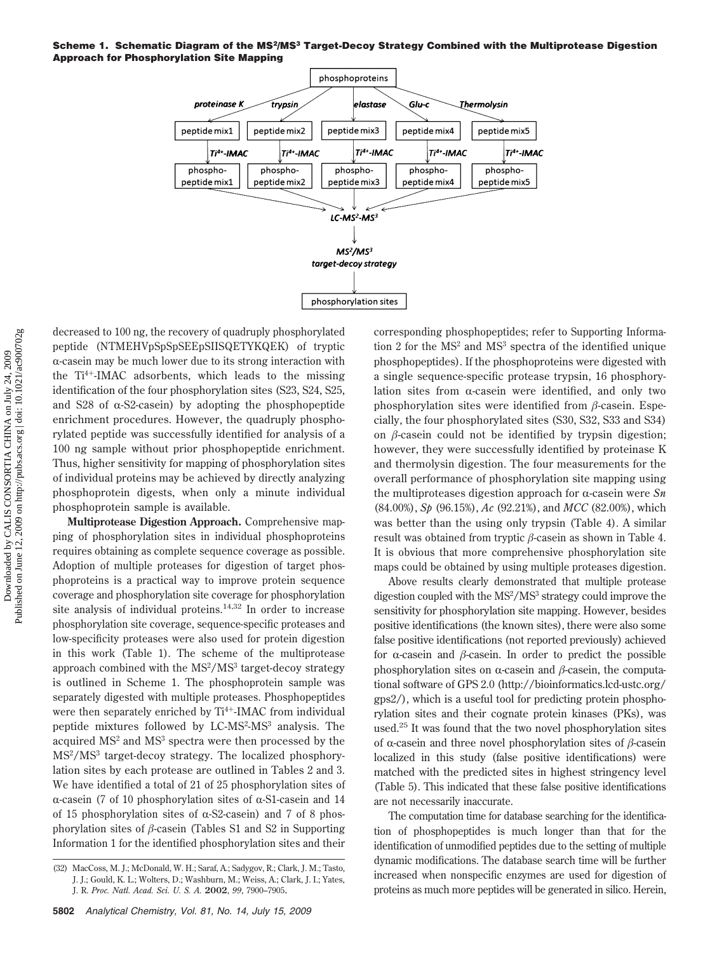#### **Scheme 1. Schematic Diagram of the MS2/MS3 Target-Decoy Strategy Combined with the Multiprotease Digestion Approach for Phosphorylation Site Mapping**



decreased to 100 ng, the recovery of quadruply phosphorylated peptide (NTMEHVpSpSpSEEpSIISQETYKQEK) of tryptic  $\alpha$ -casein may be much lower due to its strong interaction with the  $Ti<sup>4+</sup>$ -IMAC adsorbents, which leads to the missing identification of the four phosphorylation sites (S23, S24, S25, and S28 of  $\alpha$ -S2-casein) by adopting the phosphopeptide enrichment procedures. However, the quadruply phosphorylated peptide was successfully identified for analysis of a 100 ng sample without prior phosphopeptide enrichment. Thus, higher sensitivity for mapping of phosphorylation sites of individual proteins may be achieved by directly analyzing phosphoprotein digests, when only a minute individual phosphoprotein sample is available.

**Multiprotease Digestion Approach.** Comprehensive mapping of phosphorylation sites in individual phosphoproteins requires obtaining as complete sequence coverage as possible. Adoption of multiple proteases for digestion of target phosphoproteins is a practical way to improve protein sequence coverage and phosphorylation site coverage for phosphorylation site analysis of individual proteins. $14,32$  In order to increase phosphorylation site coverage, sequence-specific proteases and low-specificity proteases were also used for protein digestion in this work (Table 1). The scheme of the multiprotease approach combined with the MS<sup>2</sup>/MS<sup>3</sup> target-decoy strategy is outlined in Scheme 1. The phosphoprotein sample was separately digested with multiple proteases. Phosphopeptides were then separately enriched by Ti<sup>4+</sup>-IMAC from individual peptide mixtures followed by LC-MS<sup>2</sup>-MS<sup>3</sup> analysis. The acquired MS<sup>2</sup> and MS<sup>3</sup> spectra were then processed by the MS2 /MS3 target-decoy strategy. The localized phosphorylation sites by each protease are outlined in Tables 2 and 3. We have identified a total of 21 of 25 phosphorylation sites of  $\alpha$ -casein (7 of 10 phosphorylation sites of  $\alpha$ -S1-casein and 14 of 15 phosphorylation sites of  $\alpha$ -S2-casein) and 7 of 8 phosphorylation sites of  $\beta$ -casein (Tables S1 and S2 in Supporting Information 1 for the identified phosphorylation sites and their

corresponding phosphopeptides; refer to Supporting Information 2 for the  $MS<sup>2</sup>$  and  $MS<sup>3</sup>$  spectra of the identified unique phosphopeptides). If the phosphoproteins were digested with a single sequence-specific protease trypsin, 16 phosphorylation sites from  $\alpha$ -casein were identified, and only two phosphorylation sites were identified from  $\beta$ -casein. Especially, the four phosphorylated sites (S30, S32, S33 and S34) on  $\beta$ -casein could not be identified by trypsin digestion; however, they were successfully identified by proteinase K and thermolysin digestion. The four measurements for the overall performance of phosphorylation site mapping using the multiproteases digestion approach for  $\alpha$ -casein were  $Sn$ (84.00%), *Sp* (96.15%), *Ac* (92.21%), and *MCC* (82.00%), which was better than the using only trypsin (Table 4). A similar result was obtained from tryptic  $\beta$ -casein as shown in Table 4. It is obvious that more comprehensive phosphorylation site maps could be obtained by using multiple proteases digestion.

Above results clearly demonstrated that multiple protease digestion coupled with the MS<sup>2</sup>/MS<sup>3</sup> strategy could improve the sensitivity for phosphorylation site mapping. However, besides positive identifications (the known sites), there were also some false positive identifications (not reported previously) achieved for  $\alpha$ -casein and  $\beta$ -casein. In order to predict the possible phosphorylation sites on  $\alpha$ -casein and  $\beta$ -casein, the computational software of GPS 2.0 (http://bioinformatics.lcd-ustc.org/ gps2/), which is a useful tool for predicting protein phosphorylation sites and their cognate protein kinases (PKs), was used.<sup>25</sup> It was found that the two novel phosphorylation sites of  $\alpha$ -casein and three novel phosphorylation sites of  $\beta$ -casein localized in this study (false positive identifications) were matched with the predicted sites in highest stringency level (Table 5). This indicated that these false positive identifications are not necessarily inaccurate.

The computation time for database searching for the identification of phosphopeptides is much longer than that for the identification of unmodified peptides due to the setting of multiple dynamic modifications. The database search time will be further increased when nonspecific enzymes are used for digestion of proteins as much more peptides will be generated in silico. Herein,

<sup>(32)</sup> MacCoss, M. J.; McDonald, W. H.; Saraf, A.; Sadygov, R.; Clark, J. M.; Tasto, J. J.; Gould, K. L.; Wolters, D.; Washburn, M.; Weiss, A.; Clark, J. I.; Yates, J. R. *Proc. Natl. Acad. Sci. U. S. A.* **2002**, *99*, 7900–7905.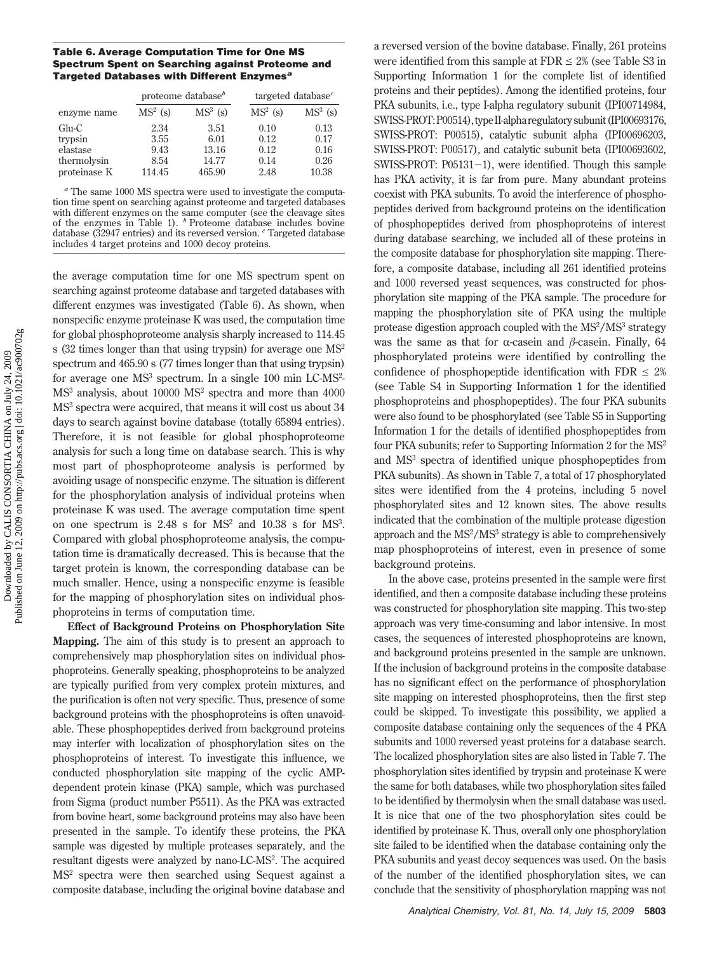## **Table 6. Average Computation Time for One MS Spectrum Spent on Searching against Proteome and Targeted Databases with Different Enzymes***<sup>a</sup>*

|                                               | proteome database <sup><math>b</math></sup> |                                | targeted database <sup><math>c</math></sup> |                              |
|-----------------------------------------------|---------------------------------------------|--------------------------------|---------------------------------------------|------------------------------|
| enzyme name                                   | $MS2$ (s)                                   | $MS3$ (s)                      | $MS2$ (s)                                   | $MS3$ (s)                    |
| $Glu-C$<br>trypsin<br>elastase<br>thermolysin | 2.34<br>3.55<br>9.43<br>8.54                | 3.51<br>6.01<br>13.16<br>14.77 | 0.10<br>0.12<br>0.12<br>0.14                | 0.13<br>0.17<br>0.16<br>0.26 |
| proteinase K                                  | 114.45                                      | 465.90                         | 2.48                                        | 10.38                        |

*<sup>a</sup>* The same 1000 MS spectra were used to investigate the computation time spent on searching against proteome and targeted databases with different enzymes on the same computer (see the cleavage sites of the enzymes in Table 1). *b* Proteome database includes bovine database (32947 entries) and its reversed version. *<sup>c</sup>* Targeted database includes 4 target proteins and 1000 decoy proteins.

the average computation time for one MS spectrum spent on searching against proteome database and targeted databases with different enzymes was investigated (Table 6). As shown, when nonspecific enzyme proteinase K was used, the computation time for global phosphoproteome analysis sharply increased to 114.45 s (32 times longer than that using trypsin) for average one  $MS<sup>2</sup>$ spectrum and 465.90 s (77 times longer than that using trypsin) for average one MS<sup>3</sup> spectrum. In a single 100 min LC-MS<sup>2</sup>- $MS<sup>3</sup>$  analysis, about 10000  $MS<sup>2</sup>$  spectra and more than 4000 MS3 spectra were acquired, that means it will cost us about 34 days to search against bovine database (totally 65894 entries). Therefore, it is not feasible for global phosphoproteome analysis for such a long time on database search. This is why most part of phosphoproteome analysis is performed by avoiding usage of nonspecific enzyme. The situation is different for the phosphorylation analysis of individual proteins when proteinase K was used. The average computation time spent on one spectrum is  $2.48$  s for MS<sup>2</sup> and  $10.38$  s for MS<sup>3</sup>. Compared with global phosphoproteome analysis, the computation time is dramatically decreased. This is because that the target protein is known, the corresponding database can be much smaller. Hence, using a nonspecific enzyme is feasible for the mapping of phosphorylation sites on individual phosphoproteins in terms of computation time.

**Effect of Background Proteins on Phosphorylation Site Mapping.** The aim of this study is to present an approach to comprehensively map phosphorylation sites on individual phosphoproteins. Generally speaking, phosphoproteins to be analyzed are typically purified from very complex protein mixtures, and the purification is often not very specific. Thus, presence of some background proteins with the phosphoproteins is often unavoidable. These phosphopeptides derived from background proteins may interfer with localization of phosphorylation sites on the phosphoproteins of interest. To investigate this influence, we conducted phosphorylation site mapping of the cyclic AMPdependent protein kinase (PKA) sample, which was purchased from Sigma (product number P5511). As the PKA was extracted from bovine heart, some background proteins may also have been presented in the sample. To identify these proteins, the PKA sample was digested by multiple proteases separately, and the resultant digests were analyzed by nano-LC-MS<sup>2</sup>. The acquired MS2 spectra were then searched using Sequest against a composite database, including the original bovine database and

a reversed version of the bovine database. Finally, 261 proteins were identified from this sample at  $FDR \leq 2\%$  (see Table S3 in Supporting Information 1 for the complete list of identified proteins and their peptides). Among the identified proteins, four PKA subunits, i.e., type I-alpha regulatory subunit (IPI00714984, SWISS-PROT:P00514), type II-alpharegulatorysubunit(IPI00693176, SWISS-PROT: P00515), catalytic subunit alpha (IPI00696203, SWISS-PROT: P00517), and catalytic subunit beta (IPI00693602, SWISS-PROT: P05131-1), were identified. Though this sample has PKA activity, it is far from pure. Many abundant proteins coexist with PKA subunits. To avoid the interference of phosphopeptides derived from background proteins on the identification of phosphopeptides derived from phosphoproteins of interest during database searching, we included all of these proteins in the composite database for phosphorylation site mapping. Therefore, a composite database, including all 261 identified proteins and 1000 reversed yeast sequences, was constructed for phosphorylation site mapping of the PKA sample. The procedure for mapping the phosphorylation site of PKA using the multiple protease digestion approach coupled with the  $MS^2/MS^3$  strategy was the same as that for  $\alpha$ -casein and  $\beta$ -casein. Finally, 64 phosphorylated proteins were identified by controlling the confidence of phosphopeptide identification with FDR  $\leq 2\%$ (see Table S4 in Supporting Information 1 for the identified phosphoproteins and phosphopeptides). The four PKA subunits were also found to be phosphorylated (see Table S5 in Supporting Information 1 for the details of identified phosphopeptides from four PKA subunits; refer to Supporting Information 2 for the MS<sup>2</sup> and MS3 spectra of identified unique phosphopeptides from PKA subunits). As shown in Table 7, a total of 17 phosphorylated sites were identified from the 4 proteins, including 5 novel phosphorylated sites and 12 known sites. The above results indicated that the combination of the multiple protease digestion approach and the  $MS<sup>2</sup>/MS<sup>3</sup>$  strategy is able to comprehensively map phosphoproteins of interest, even in presence of some background proteins.

In the above case, proteins presented in the sample were first identified, and then a composite database including these proteins was constructed for phosphorylation site mapping. This two-step approach was very time-consuming and labor intensive. In most cases, the sequences of interested phosphoproteins are known, and background proteins presented in the sample are unknown. If the inclusion of background proteins in the composite database has no significant effect on the performance of phosphorylation site mapping on interested phosphoproteins, then the first step could be skipped. To investigate this possibility, we applied a composite database containing only the sequences of the 4 PKA subunits and 1000 reversed yeast proteins for a database search. The localized phosphorylation sites are also listed in Table 7. The phosphorylation sites identified by trypsin and proteinase K were the same for both databases, while two phosphorylation sites failed to be identified by thermolysin when the small database was used. It is nice that one of the two phosphorylation sites could be identified by proteinase K. Thus, overall only one phosphorylation site failed to be identified when the database containing only the PKA subunits and yeast decoy sequences was used. On the basis of the number of the identified phosphorylation sites, we can conclude that the sensitivity of phosphorylation mapping was not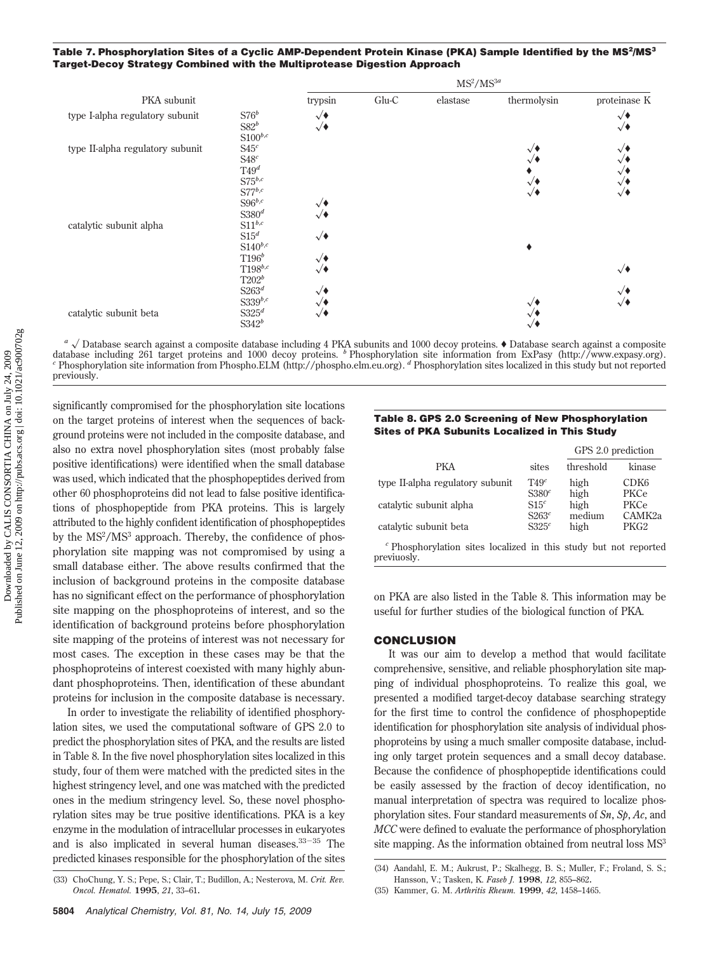# Table 7. Phosphorylation Sites of a Cyclic AMP-Dependent Protein Kinase (PKA) Sample Identified by the MS<sup>2</sup>/MS<sup>3</sup> **Target-Decoy Strategy Combined with the Multiprotease Digestion Approach**

|                                  |                                                                                        |                                                                              |         | $MS^2/MS^{3a}$ |                                                                  |                                                                                      |
|----------------------------------|----------------------------------------------------------------------------------------|------------------------------------------------------------------------------|---------|----------------|------------------------------------------------------------------|--------------------------------------------------------------------------------------|
| PKA subunit                      |                                                                                        | trypsin                                                                      | $Glu-C$ | elastase       | thermolysin                                                      | proteinase K                                                                         |
| type I-alpha regulatory subunit  | $S76^b$<br>$S82^b$<br>$S100^{b,c}$                                                     | $\sqrt{\bullet}$<br>$\sqrt{\bullet}$                                         |         |                |                                                                  | $\sqrt{\bullet}$<br>$\sqrt{\bullet}$                                                 |
| type II-alpha regulatory subunit | S45 <sup>c</sup><br>$\mathbb{S}48^c$<br>T49 <sup>d</sup><br>$S75^{b,c}$<br>$S77^{b,c}$ |                                                                              |         |                | $\sqrt{\bullet}$<br>$\sqrt{ }$<br>$\sqrt{ }$<br>$\sqrt{\bullet}$ | $\sqrt{\bullet}$<br>$\sqrt{ }$<br>$\sqrt{ }$<br>$\sqrt{\bullet}$<br>$\sqrt{\bullet}$ |
| catalytic subunit alpha          | $S96^{b,c}$<br>S380 <sup>d</sup><br>$\text{S11}^{b,c}$<br>$S15^d$<br>$S140^{b,c}$      | $\sqrt{\bullet}$<br>$\sqrt{\bullet}$<br>$\sqrt{\bullet}$                     |         |                |                                                                  |                                                                                      |
|                                  | $T196^b$<br>$T198^{b,c}$<br>$T202^b$<br>$\mathrm{S}263^d$<br>S339 $b,c$                | $\sqrt{\bullet}$<br>$\sqrt{\bullet}$<br>$\sqrt{\bullet}$<br>$\sqrt{\bullet}$ |         |                | $\sqrt{\bullet}$                                                 | $\sqrt{\bullet}$<br>$\sqrt{\bullet}$<br>√♦                                           |
| catalytic subunit beta           | S325 <sup>d</sup><br>$S342^b$                                                          | $\sqrt{\bullet}$                                                             |         |                | $\sqrt{ }$<br>$\sqrt{ }$                                         |                                                                                      |

 $a \sqrt{\frac{a}{a}}$  Database search against a composite database including 4 PKA subunits and 1000 decoy proteins.  $\bullet$  Database search against a composite database including 261 target proteins and 1000 decoy proteins. <sup>b</sup> Phosphorylation site information from ExPasy (http://www.expasy.org).<br><sup>c</sup> Phosphorylation site information from Phospho.ELM (http://phospho.elm.eu.org). <sup></sup> previously.

significantly compromised for the phosphorylation site locations on the target proteins of interest when the sequences of background proteins were not included in the composite database, and also no extra novel phosphorylation sites (most probably false positive identifications) were identified when the small database was used, which indicated that the phosphopeptides derived from other 60 phosphoproteins did not lead to false positive identifications of phosphopeptide from PKA proteins. This is largely attributed to the highly confident identification of phosphopeptides by the MS<sup>2</sup>/MS<sup>3</sup> approach. Thereby, the confidence of phosphorylation site mapping was not compromised by using a small database either. The above results confirmed that the inclusion of background proteins in the composite database has no significant effect on the performance of phosphorylation site mapping on the phosphoproteins of interest, and so the identification of background proteins before phosphorylation site mapping of the proteins of interest was not necessary for most cases. The exception in these cases may be that the phosphoproteins of interest coexisted with many highly abundant phosphoproteins. Then, identification of these abundant proteins for inclusion in the composite database is necessary.

In order to investigate the reliability of identified phosphorylation sites, we used the computational software of GPS 2.0 to predict the phosphorylation sites of PKA, and the results are listed in Table 8. In the five novel phosphorylation sites localized in this study, four of them were matched with the predicted sites in the highest stringency level, and one was matched with the predicted ones in the medium stringency level. So, these novel phosphorylation sites may be true positive identifications. PKA is a key enzyme in the modulation of intracellular processes in eukaryotes and is also implicated in several human diseases. $33-35$  The predicted kinases responsible for the phosphorylation of the sites

## **Table 8. GPS 2.0 Screening of New Phosphorylation Sites of PKA Subunits Localized in This Study**

|                                                                           |                                       | GPS 2.0 prediction |                            |  |
|---------------------------------------------------------------------------|---------------------------------------|--------------------|----------------------------|--|
| <b>PKA</b>                                                                | sites                                 | threshold          | kinase                     |  |
| type II-alpha regulatory subunit                                          | T49 <sup>c</sup><br>S380 <sup>c</sup> | high<br>high       | CDK <sub>6</sub><br>PKCe   |  |
| catalytic subunit alpha                                                   | S15 <sup>c</sup><br>S263 <sup>c</sup> | high<br>medium     | PKCe<br>CAMK <sub>2a</sub> |  |
| catalytic subunit beta                                                    | S325 <sup>c</sup>                     | high               | PKG <sub>2</sub>           |  |
| $\epsilon$ Dheenheurlation attes localized in this study but not repeated |                                       |                    |                            |  |

*<sup>c</sup>* Phosphorylation sites localized in this study but not reported previuosly.

on PKA are also listed in the Table 8. This information may be useful for further studies of the biological function of PKA.

#### **CONCLUSION**

It was our aim to develop a method that would facilitate comprehensive, sensitive, and reliable phosphorylation site mapping of individual phosphoproteins. To realize this goal, we presented a modified target-decoy database searching strategy for the first time to control the confidence of phosphopeptide identification for phosphorylation site analysis of individual phosphoproteins by using a much smaller composite database, including only target protein sequences and a small decoy database. Because the confidence of phosphopeptide identifications could be easily assessed by the fraction of decoy identification, no manual interpretation of spectra was required to localize phosphorylation sites. Four standard measurements of *Sn*, *Sp*, *Ac*, and *MCC* were defined to evaluate the performance of phosphorylation site mapping. As the information obtained from neutral loss  $MS<sup>3</sup>$ 

<sup>(33)</sup> ChoChung, Y. S.; Pepe, S.; Clair, T.; Budillon, A.; Nesterova, M. *Crit. Rev. Oncol. Hematol.* **1995**, *21*, 33–61.

<sup>(34)</sup> Aandahl, E. M.; Aukrust, P.; Skalhegg, B. S.; Muller, F.; Froland, S. S.; Hansson, V.; Tasken, K. *Faseb J.* **1998**, *12*, 855–862.

<sup>(35)</sup> Kammer, G. M. *Arthritis Rheum.* **1999**, *42*, 1458–1465.